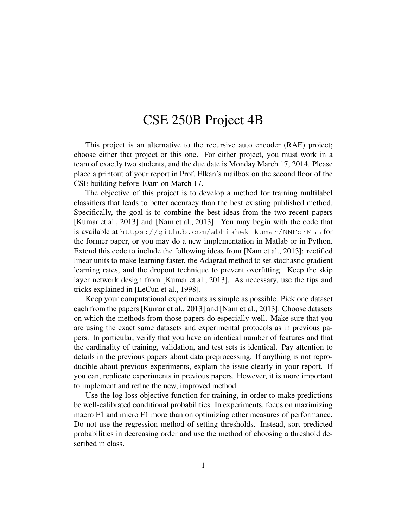## CSE 250B Project 4B

This project is an alternative to the recursive auto encoder (RAE) project; choose either that project or this one. For either project, you must work in a team of exactly two students, and the due date is Monday March 17, 2014. Please place a printout of your report in Prof. Elkan's mailbox on the second floor of the CSE building before 10am on March 17.

The objective of this project is to develop a method for training multilabel classifiers that leads to better accuracy than the best existing published method. Specifically, the goal is to combine the best ideas from the two recent papers [Kumar et al., 2013] and [Nam et al., 2013]. You may begin with the code that is available at https://github.com/abhishek-kumar/NNForMLL for the former paper, or you may do a new implementation in Matlab or in Python. Extend this code to include the following ideas from [Nam et al., 2013]: rectified linear units to make learning faster, the Adagrad method to set stochastic gradient learning rates, and the dropout technique to prevent overfitting. Keep the skip layer network design from [Kumar et al., 2013]. As necessary, use the tips and tricks explained in [LeCun et al., 1998].

Keep your computational experiments as simple as possible. Pick one dataset each from the papers [Kumar et al., 2013] and [Nam et al., 2013]. Choose datasets on which the methods from those papers do especially well. Make sure that you are using the exact same datasets and experimental protocols as in previous papers. In particular, verify that you have an identical number of features and that the cardinality of training, validation, and test sets is identical. Pay attention to details in the previous papers about data preprocessing. If anything is not reproducible about previous experiments, explain the issue clearly in your report. If you can, replicate experiments in previous papers. However, it is more important to implement and refine the new, improved method.

Use the log loss objective function for training, in order to make predictions be well-calibrated conditional probabilities. In experiments, focus on maximizing macro F1 and micro F1 more than on optimizing other measures of performance. Do not use the regression method of setting thresholds. Instead, sort predicted probabilities in decreasing order and use the method of choosing a threshold described in class.